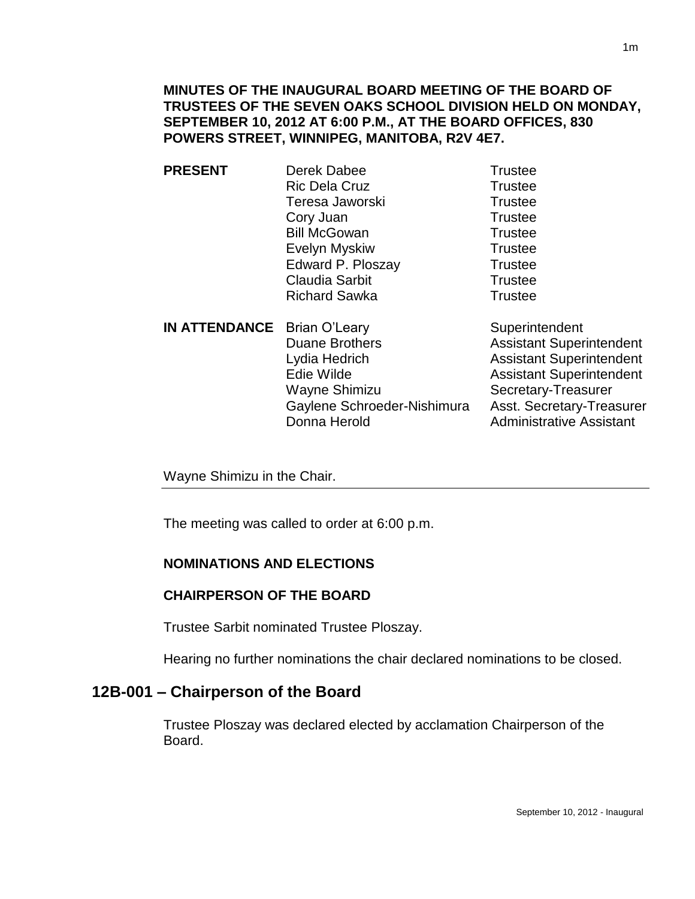**MINUTES OF THE INAUGURAL BOARD MEETING OF THE BOARD OF TRUSTEES OF THE SEVEN OAKS SCHOOL DIVISION HELD ON MONDAY, SEPTEMBER 10, 2012 AT 6:00 P.M., AT THE BOARD OFFICES, 830 POWERS STREET, WINNIPEG, MANITOBA, R2V 4E7.**

- **PRESENT** Derek Dabee Trustee Ric Dela Cruz **Trustee** Teresa Jaworski **Trustee** Cory Juan Trustee Bill McGowan Trustee Evelyn Myskiw Trustee Edward P. Ploszay Trustee Claudia Sarbit **Trustee** Richard Sawka Trustee
- **IN ATTENDANCE** Brian O'Leary Superintendent Duane Brothers **Assistant Superintendent** Lydia Hedrich Assistant Superintendent Edie Wilde **Assistant Superintendent** Wayne Shimizu Secretary-Treasurer Gaylene Schroeder-Nishimura Asst. Secretary-Treasurer Donna Herold **Administrative Assistant**

Wayne Shimizu in the Chair.

The meeting was called to order at 6:00 p.m.

#### **NOMINATIONS AND ELECTIONS**

#### **CHAIRPERSON OF THE BOARD**

Trustee Sarbit nominated Trustee Ploszay.

Hearing no further nominations the chair declared nominations to be closed.

## **12B-001 – Chairperson of the Board**

Trustee Ploszay was declared elected by acclamation Chairperson of the Board.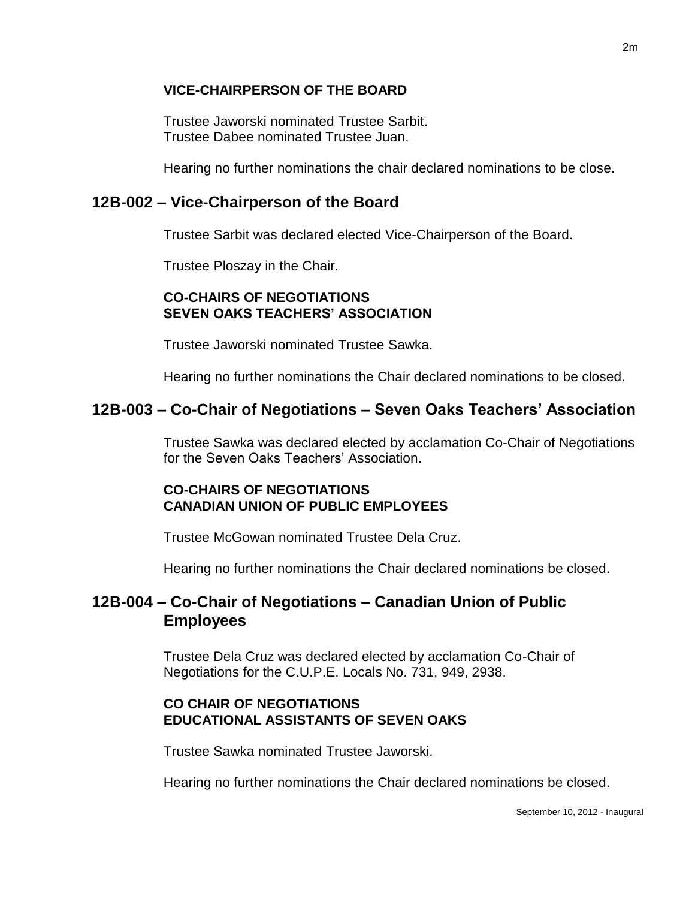### **VICE-CHAIRPERSON OF THE BOARD**

Trustee Jaworski nominated Trustee Sarbit. Trustee Dabee nominated Trustee Juan.

Hearing no further nominations the chair declared nominations to be close.

### **12B-002 – Vice-Chairperson of the Board**

Trustee Sarbit was declared elected Vice-Chairperson of the Board.

Trustee Ploszay in the Chair.

### **CO-CHAIRS OF NEGOTIATIONS SEVEN OAKS TEACHERS' ASSOCIATION**

Trustee Jaworski nominated Trustee Sawka.

Hearing no further nominations the Chair declared nominations to be closed.

## **12B-003 – Co-Chair of Negotiations – Seven Oaks Teachers' Association**

Trustee Sawka was declared elected by acclamation Co-Chair of Negotiations for the Seven Oaks Teachers' Association.

### **CO-CHAIRS OF NEGOTIATIONS CANADIAN UNION OF PUBLIC EMPLOYEES**

Trustee McGowan nominated Trustee Dela Cruz.

Hearing no further nominations the Chair declared nominations be closed.

## **12B-004 – Co-Chair of Negotiations – Canadian Union of Public Employees**

Trustee Dela Cruz was declared elected by acclamation Co-Chair of Negotiations for the C.U.P.E. Locals No. 731, 949, 2938.

### **CO CHAIR OF NEGOTIATIONS EDUCATIONAL ASSISTANTS OF SEVEN OAKS**

Trustee Sawka nominated Trustee Jaworski.

Hearing no further nominations the Chair declared nominations be closed.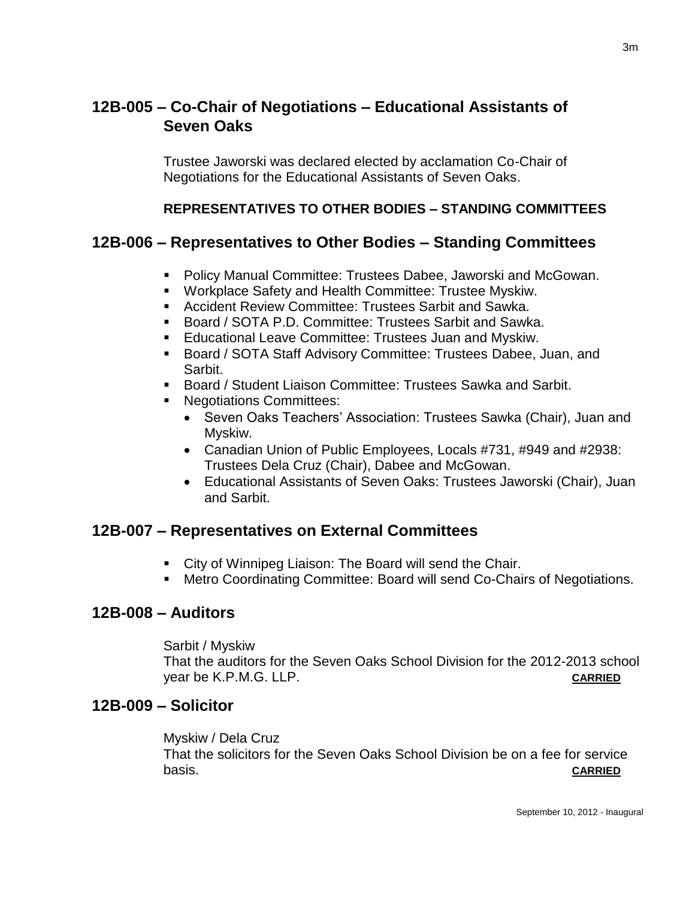# **12B-005 – Co-Chair of Negotiations – Educational Assistants of Seven Oaks**

Trustee Jaworski was declared elected by acclamation Co-Chair of Negotiations for the Educational Assistants of Seven Oaks.

### **REPRESENTATIVES TO OTHER BODIES – STANDING COMMITTEES**

### **12B-006 – Representatives to Other Bodies – Standing Committees**

- Policy Manual Committee: Trustees Dabee, Jaworski and McGowan.
- **Workplace Safety and Health Committee: Trustee Myskiw.**
- Accident Review Committee: Trustees Sarbit and Sawka.
- Board / SOTA P.D. Committee: Trustees Sarbit and Sawka.
- **Educational Leave Committee: Trustees Juan and Myskiw.**
- Board / SOTA Staff Advisory Committee: Trustees Dabee, Juan, and Sarbit.
- Board / Student Liaison Committee: Trustees Sawka and Sarbit.
- Negotiations Committees:
	- Seven Oaks Teachers' Association: Trustees Sawka (Chair), Juan and Myskiw.
	- Canadian Union of Public Employees, Locals #731, #949 and #2938: Trustees Dela Cruz (Chair), Dabee and McGowan.
	- Educational Assistants of Seven Oaks: Trustees Jaworski (Chair), Juan and Sarbit.

### **12B-007 – Representatives on External Committees**

- City of Winnipeg Liaison: The Board will send the Chair.
- Metro Coordinating Committee: Board will send Co-Chairs of Negotiations.

#### **12B-008 – Auditors**

Sarbit / Myskiw That the auditors for the Seven Oaks School Division for the 2012-2013 school year be K.P.M.G. LLP. **CARRIED**

#### **12B-009 – Solicitor**

Myskiw / Dela Cruz That the solicitors for the Seven Oaks School Division be on a fee for service basis. **CARRIED**